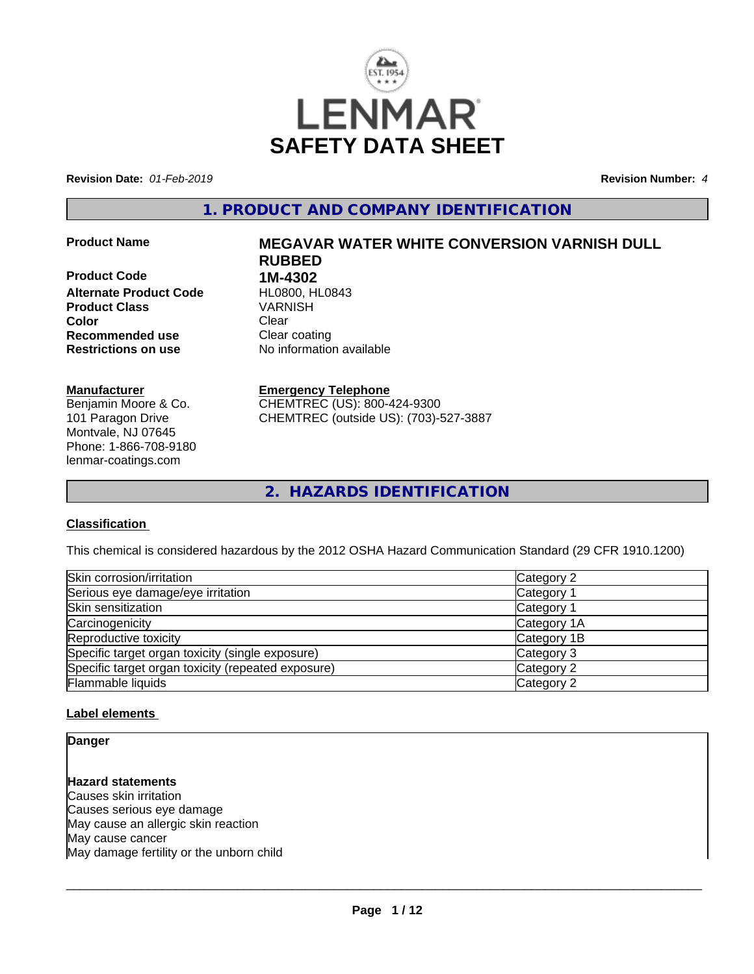

**Revision Date:** *01-Feb-2019* **Revision Number:** *4*

**1. PRODUCT AND COMPANY IDENTIFICATION**

**Product Code 1M-4302**<br>**Alternate Product Code HL0800. HL0843 Alternate Product Code HL0800, H<br>Product Class Manual Class WARNISH Product Class Color** Clear Clear **Recommended use Clear coating Restrictions on use** No information available

## **Manufacturer**

Benjamin Moore & Co. 101 Paragon Drive Montvale, NJ 07645 Phone: 1-866-708-9180 lenmar-coatings.com

# **Product Name MEGAVAR WATER WHITE CONVERSION VARNISH DULL RUBBED**

**Emergency Telephone** CHEMTREC (US): 800-424-9300 CHEMTREC (outside US): (703)-527-3887

**2. HAZARDS IDENTIFICATION**

## **Classification**

This chemical is considered hazardous by the 2012 OSHA Hazard Communication Standard (29 CFR 1910.1200)

| Skin corrosion/irritation                          | Category 2  |
|----------------------------------------------------|-------------|
| Serious eye damage/eye irritation                  | Category 1  |
| Skin sensitization                                 | Category 1  |
| Carcinogenicity                                    | Category 1A |
| Reproductive toxicity                              | Category 1B |
| Specific target organ toxicity (single exposure)   | Category 3  |
| Specific target organ toxicity (repeated exposure) | Category 2  |
| Flammable liquids                                  | Category 2  |

## **Label elements**

**Danger**

**Hazard statements**

Causes skin irritation Causes serious eye damage May cause an allergic skin reaction May cause cancer May damage fertility or the unborn child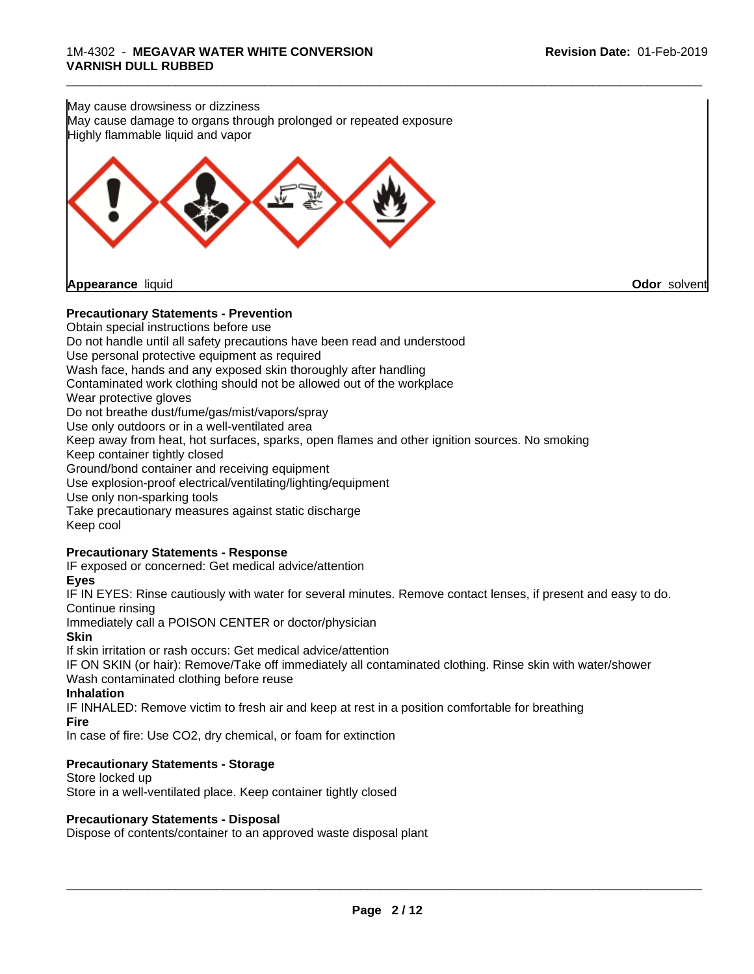

## **Precautionary Statements - Prevention**

Obtain special instructions before use Do not handle until all safety precautions have been read and understood Use personal protective equipment as required Wash face, hands and any exposed skin thoroughly after handling Contaminated work clothing should not be allowed out of the workplace Wear protective gloves Do not breathe dust/fume/gas/mist/vapors/spray Use only outdoors or in a well-ventilated area Keep away from heat, hot surfaces, sparks, open flames and other ignition sources. No smoking Keep container tightly closed Ground/bond container and receiving equipment Use explosion-proof electrical/ventilating/lighting/equipment Use only non-sparking tools Take precautionary measures against static discharge Keep cool **Precautionary Statements - Response** IF exposed or concerned: Get medical advice/attention **Eyes**

IF IN EYES: Rinse cautiously with water for several minutes. Remove contact lenses, if present and easy to do. Continue rinsing

Immediately call a POISON CENTER or doctor/physician

#### **Skin**

If skin irritation or rash occurs: Get medical advice/attention

IF ON SKIN (or hair): Remove/Take off immediately all contaminated clothing. Rinse skin with water/shower Wash contaminated clothing before reuse

## **Inhalation**

IF INHALED: Remove victim to fresh air and keep atrest in a position comfortable for breathing **Fire**

In case of fire: Use CO2, dry chemical, or foam for extinction

## **Precautionary Statements - Storage**

Store locked up Store in a well-ventilated place. Keep container tightly closed

## **Precautionary Statements - Disposal**

Dispose of contents/container to an approved waste disposal plant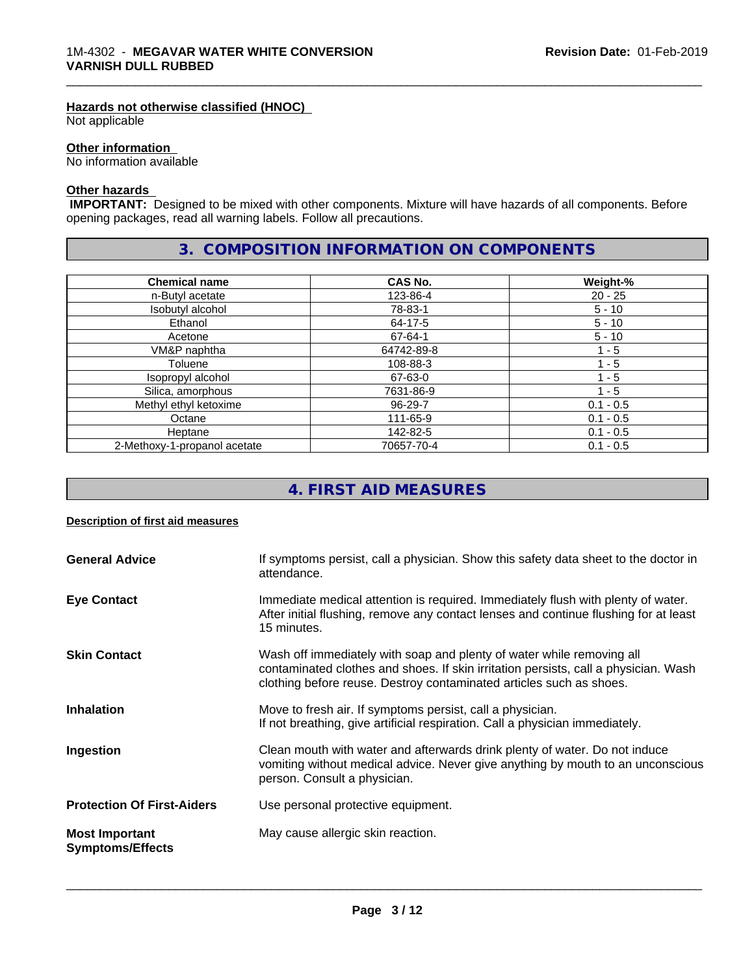#### **Hazards not otherwise classified (HNOC)**

Not applicable

## **Other information**

No information available

## **Other hazards**

 **IMPORTANT:** Designed to be mixed with other components. Mixture will have hazards of all components. Before opening packages, read all warning labels. Follow all precautions.

## **3. COMPOSITION INFORMATION ON COMPONENTS**

\_\_\_\_\_\_\_\_\_\_\_\_\_\_\_\_\_\_\_\_\_\_\_\_\_\_\_\_\_\_\_\_\_\_\_\_\_\_\_\_\_\_\_\_\_\_\_\_\_\_\_\_\_\_\_\_\_\_\_\_\_\_\_\_\_\_\_\_\_\_\_\_\_\_\_\_\_\_\_\_\_\_\_\_\_\_\_\_\_\_\_\_\_

| <b>Chemical name</b>         | CAS No.    | Weight-%    |
|------------------------------|------------|-------------|
| n-Butyl acetate              | 123-86-4   | $20 - 25$   |
| Isobutyl alcohol             | 78-83-1    | $5 - 10$    |
| Ethanol                      | 64-17-5    | $5 - 10$    |
| Acetone                      | 67-64-1    | $5 - 10$    |
| VM&P naphtha                 | 64742-89-8 | 1 - 5       |
| Toluene                      | 108-88-3   | 1 - 5       |
| Isopropyl alcohol            | 67-63-0    | 1 - 5       |
| Silica, amorphous            | 7631-86-9  | 1 - 5       |
| Methyl ethyl ketoxime        | 96-29-7    | $0.1 - 0.5$ |
| Octane                       | 111-65-9   | $0.1 - 0.5$ |
| Heptane                      | 142-82-5   | $0.1 - 0.5$ |
| 2-Methoxy-1-propanol acetate | 70657-70-4 | $0.1 - 0.5$ |

# **4. FIRST AID MEASURES**

## **Description of first aid measures**

| <b>General Advice</b>                            | If symptoms persist, call a physician. Show this safety data sheet to the doctor in<br>attendance.                                                                                                                                  |
|--------------------------------------------------|-------------------------------------------------------------------------------------------------------------------------------------------------------------------------------------------------------------------------------------|
| <b>Eye Contact</b>                               | Immediate medical attention is required. Immediately flush with plenty of water.<br>After initial flushing, remove any contact lenses and continue flushing for at least<br>15 minutes.                                             |
| <b>Skin Contact</b>                              | Wash off immediately with soap and plenty of water while removing all<br>contaminated clothes and shoes. If skin irritation persists, call a physician. Wash<br>clothing before reuse. Destroy contaminated articles such as shoes. |
| <b>Inhalation</b>                                | Move to fresh air. If symptoms persist, call a physician.<br>If not breathing, give artificial respiration. Call a physician immediately.                                                                                           |
| Ingestion                                        | Clean mouth with water and afterwards drink plenty of water. Do not induce<br>vomiting without medical advice. Never give anything by mouth to an unconscious<br>person. Consult a physician.                                       |
| <b>Protection Of First-Aiders</b>                | Use personal protective equipment.                                                                                                                                                                                                  |
| <b>Most Important</b><br><b>Symptoms/Effects</b> | May cause allergic skin reaction.                                                                                                                                                                                                   |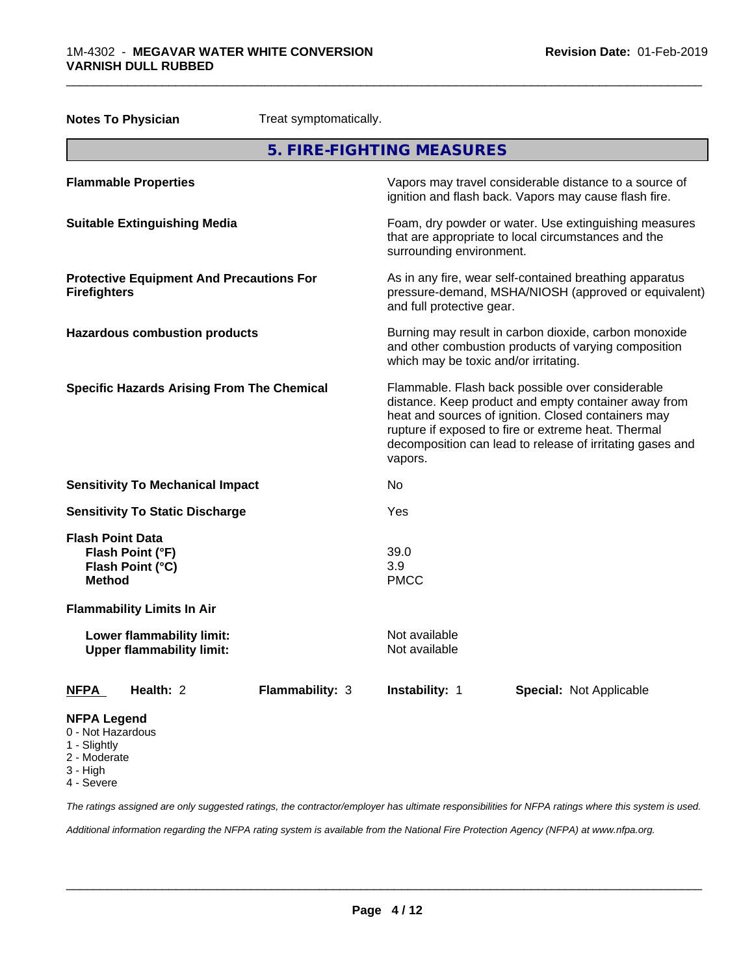|                                                         | <b>Notes To Physician</b>                                     | Treat symptomatically. |                                       |                                                                                                                                                                                                                                                                                     |
|---------------------------------------------------------|---------------------------------------------------------------|------------------------|---------------------------------------|-------------------------------------------------------------------------------------------------------------------------------------------------------------------------------------------------------------------------------------------------------------------------------------|
|                                                         |                                                               |                        | 5. FIRE-FIGHTING MEASURES             |                                                                                                                                                                                                                                                                                     |
|                                                         | <b>Flammable Properties</b>                                   |                        |                                       | Vapors may travel considerable distance to a source of<br>ignition and flash back. Vapors may cause flash fire.                                                                                                                                                                     |
|                                                         | <b>Suitable Extinguishing Media</b>                           |                        | surrounding environment.              | Foam, dry powder or water. Use extinguishing measures<br>that are appropriate to local circumstances and the                                                                                                                                                                        |
| <b>Firefighters</b>                                     | <b>Protective Equipment And Precautions For</b>               |                        | and full protective gear.             | As in any fire, wear self-contained breathing apparatus<br>pressure-demand, MSHA/NIOSH (approved or equivalent)                                                                                                                                                                     |
|                                                         | <b>Hazardous combustion products</b>                          |                        | which may be toxic and/or irritating. | Burning may result in carbon dioxide, carbon monoxide<br>and other combustion products of varying composition                                                                                                                                                                       |
|                                                         | <b>Specific Hazards Arising From The Chemical</b>             |                        | vapors.                               | Flammable. Flash back possible over considerable<br>distance. Keep product and empty container away from<br>heat and sources of ignition. Closed containers may<br>rupture if exposed to fire or extreme heat. Thermal<br>decomposition can lead to release of irritating gases and |
|                                                         | <b>Sensitivity To Mechanical Impact</b>                       |                        | No.                                   |                                                                                                                                                                                                                                                                                     |
|                                                         | <b>Sensitivity To Static Discharge</b>                        |                        | Yes                                   |                                                                                                                                                                                                                                                                                     |
| <b>Flash Point Data</b><br><b>Method</b>                | Flash Point (°F)<br>Flash Point (°C)                          |                        | 39.0<br>3.9<br><b>PMCC</b>            |                                                                                                                                                                                                                                                                                     |
|                                                         | <b>Flammability Limits In Air</b>                             |                        |                                       |                                                                                                                                                                                                                                                                                     |
|                                                         | Lower flammability limit:<br><b>Upper flammability limit:</b> |                        | Not available<br>Not available        |                                                                                                                                                                                                                                                                                     |
| <b>NFPA</b>                                             | Health: 2                                                     | Flammability: 3        | Instability: 1                        | Special: Not Applicable                                                                                                                                                                                                                                                             |
| <b>NFPA Legend</b><br>0 - Not Hazardous<br>1 - Slightly |                                                               |                        |                                       |                                                                                                                                                                                                                                                                                     |

\_\_\_\_\_\_\_\_\_\_\_\_\_\_\_\_\_\_\_\_\_\_\_\_\_\_\_\_\_\_\_\_\_\_\_\_\_\_\_\_\_\_\_\_\_\_\_\_\_\_\_\_\_\_\_\_\_\_\_\_\_\_\_\_\_\_\_\_\_\_\_\_\_\_\_\_\_\_\_\_\_\_\_\_\_\_\_\_\_\_\_\_\_

- 2 Moderate
- 3 High
- 4 Severe

*The ratings assigned are only suggested ratings, the contractor/employer has ultimate responsibilities for NFPA ratings where this system is used.*

*Additional information regarding the NFPA rating system is available from the National Fire Protection Agency (NFPA) at www.nfpa.org.*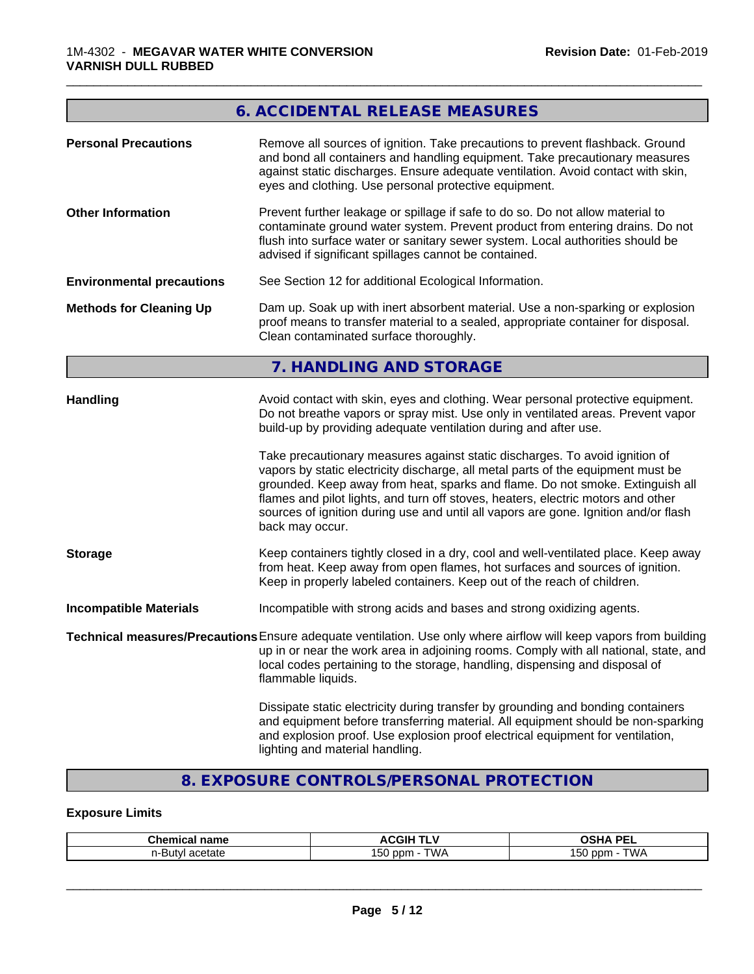# **6. ACCIDENTAL RELEASE MEASURES**

\_\_\_\_\_\_\_\_\_\_\_\_\_\_\_\_\_\_\_\_\_\_\_\_\_\_\_\_\_\_\_\_\_\_\_\_\_\_\_\_\_\_\_\_\_\_\_\_\_\_\_\_\_\_\_\_\_\_\_\_\_\_\_\_\_\_\_\_\_\_\_\_\_\_\_\_\_\_\_\_\_\_\_\_\_\_\_\_\_\_\_\_\_

| <b>Personal Precautions</b>      | Remove all sources of ignition. Take precautions to prevent flashback. Ground<br>and bond all containers and handling equipment. Take precautionary measures<br>against static discharges. Ensure adequate ventilation. Avoid contact with skin,<br>eyes and clothing. Use personal protective equipment.                                                                                                                                                                                                                                                                                                                                                                                 |
|----------------------------------|-------------------------------------------------------------------------------------------------------------------------------------------------------------------------------------------------------------------------------------------------------------------------------------------------------------------------------------------------------------------------------------------------------------------------------------------------------------------------------------------------------------------------------------------------------------------------------------------------------------------------------------------------------------------------------------------|
| <b>Other Information</b>         | Prevent further leakage or spillage if safe to do so. Do not allow material to<br>contaminate ground water system. Prevent product from entering drains. Do not<br>flush into surface water or sanitary sewer system. Local authorities should be<br>advised if significant spillages cannot be contained.                                                                                                                                                                                                                                                                                                                                                                                |
| <b>Environmental precautions</b> | See Section 12 for additional Ecological Information.                                                                                                                                                                                                                                                                                                                                                                                                                                                                                                                                                                                                                                     |
| <b>Methods for Cleaning Up</b>   | Dam up. Soak up with inert absorbent material. Use a non-sparking or explosion<br>proof means to transfer material to a sealed, appropriate container for disposal.<br>Clean contaminated surface thoroughly.                                                                                                                                                                                                                                                                                                                                                                                                                                                                             |
|                                  | 7. HANDLING AND STORAGE                                                                                                                                                                                                                                                                                                                                                                                                                                                                                                                                                                                                                                                                   |
| <b>Handling</b>                  | Avoid contact with skin, eyes and clothing. Wear personal protective equipment.<br>Do not breathe vapors or spray mist. Use only in ventilated areas. Prevent vapor<br>build-up by providing adequate ventilation during and after use.<br>Take precautionary measures against static discharges. To avoid ignition of<br>vapors by static electricity discharge, all metal parts of the equipment must be<br>grounded. Keep away from heat, sparks and flame. Do not smoke. Extinguish all<br>flames and pilot lights, and turn off stoves, heaters, electric motors and other<br>sources of ignition during use and until all vapors are gone. Ignition and/or flash<br>back may occur. |
| <b>Storage</b>                   | Keep containers tightly closed in a dry, cool and well-ventilated place. Keep away<br>from heat. Keep away from open flames, hot surfaces and sources of ignition.<br>Keep in properly labeled containers. Keep out of the reach of children.                                                                                                                                                                                                                                                                                                                                                                                                                                             |
| <b>Incompatible Materials</b>    | Incompatible with strong acids and bases and strong oxidizing agents.                                                                                                                                                                                                                                                                                                                                                                                                                                                                                                                                                                                                                     |
|                                  | Technical measures/Precautions Ensure adequate ventilation. Use only where airflow will keep vapors from building<br>up in or near the work area in adjoining rooms. Comply with all national, state, and<br>local codes pertaining to the storage, handling, dispensing and disposal of<br>flammable liquids.                                                                                                                                                                                                                                                                                                                                                                            |
|                                  | Dissipate static electricity during transfer by grounding and bonding containers<br>and equipment before transferring material. All equipment should be non-sparking<br>and explosion proof. Use explosion proof electrical equipment for ventilation,<br>lighting and material handling.                                                                                                                                                                                                                                                                                                                                                                                                 |
|                                  |                                                                                                                                                                                                                                                                                                                                                                                                                                                                                                                                                                                                                                                                                           |

# **8. EXPOSURE CONTROLS/PERSONAL PROTECTION**

## **Exposure Limits**

| <b>Chemical name</b>              | <b>ACGIH</b><br>.<br>. | OCUA DEI<br>יהסי<br>-- |
|-----------------------------------|------------------------|------------------------|
| acetate<br>.<br><b>ITV</b><br>. . | .<br>TWA<br>ppm<br>'50 | ГWА<br>ppm<br>vu       |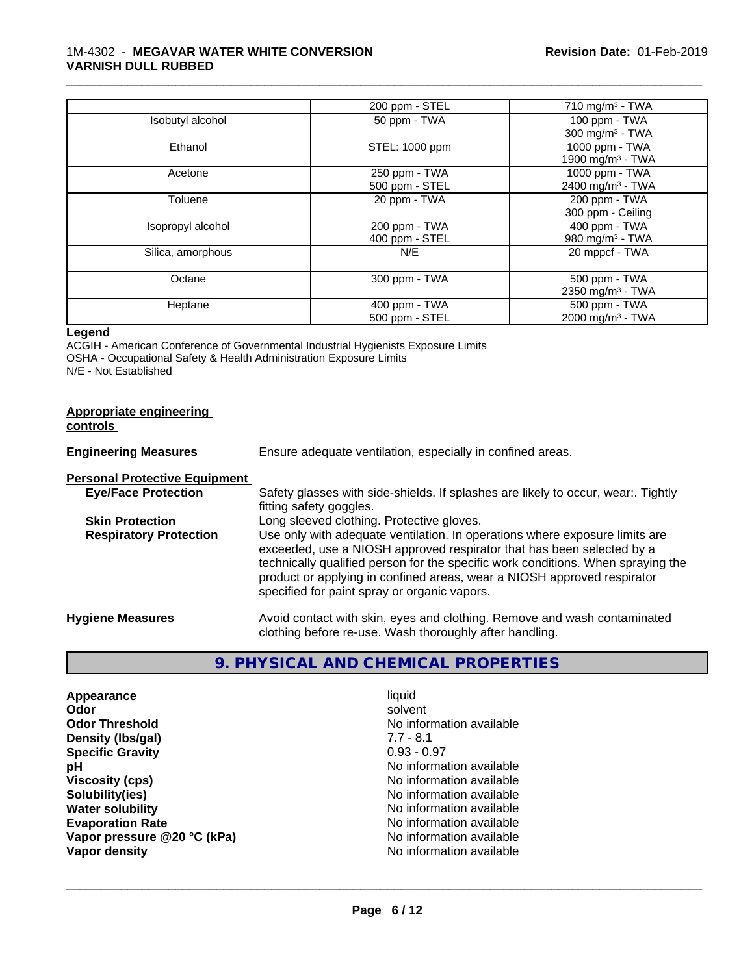|                   | 200 ppm - STEL                  | 710 mg/m $3$ - TWA                             |
|-------------------|---------------------------------|------------------------------------------------|
| Isobutyl alcohol  | 50 ppm - TWA                    | 100 ppm - TWA<br>300 mg/m $3$ - TWA            |
| Ethanol           | STEL: 1000 ppm                  | 1000 ppm - TWA<br>1900 mg/m <sup>3</sup> - TWA |
| Acetone           | 250 ppm - TWA<br>500 ppm - STEL | 1000 ppm - TWA<br>2400 mg/m <sup>3</sup> - TWA |
| Toluene           | 20 ppm - TWA                    | 200 ppm - TWA<br>300 ppm - Ceiling             |
| Isopropyl alcohol | 200 ppm - TWA<br>400 ppm - STEL | 400 ppm - TWA<br>980 mg/m $3$ - TWA            |
| Silica, amorphous | N/E                             | 20 mppcf - TWA                                 |
| Octane            | 300 ppm - TWA                   | 500 ppm - TWA<br>2350 mg/m <sup>3</sup> - TWA  |
| Heptane           | 400 ppm - TWA<br>500 ppm - STEL | 500 ppm - TWA<br>2000 mg/m <sup>3</sup> - TWA  |

\_\_\_\_\_\_\_\_\_\_\_\_\_\_\_\_\_\_\_\_\_\_\_\_\_\_\_\_\_\_\_\_\_\_\_\_\_\_\_\_\_\_\_\_\_\_\_\_\_\_\_\_\_\_\_\_\_\_\_\_\_\_\_\_\_\_\_\_\_\_\_\_\_\_\_\_\_\_\_\_\_\_\_\_\_\_\_\_\_\_\_\_\_

## **Legend**

ACGIH - American Conference of Governmental Industrial Hygienists Exposure Limits OSHA - Occupational Safety & Health Administration Exposure Limits N/E - Not Established

| Appropriate engineering<br>controls  |                                                                                                                                                                                                                                                                                                                                                                     |
|--------------------------------------|---------------------------------------------------------------------------------------------------------------------------------------------------------------------------------------------------------------------------------------------------------------------------------------------------------------------------------------------------------------------|
| <b>Engineering Measures</b>          | Ensure adequate ventilation, especially in confined areas.                                                                                                                                                                                                                                                                                                          |
| <b>Personal Protective Equipment</b> |                                                                                                                                                                                                                                                                                                                                                                     |
| <b>Eye/Face Protection</b>           | Safety glasses with side-shields. If splashes are likely to occur, wear:. Tightly<br>fitting safety goggles.                                                                                                                                                                                                                                                        |
| <b>Skin Protection</b>               | Long sleeved clothing. Protective gloves.                                                                                                                                                                                                                                                                                                                           |
| <b>Respiratory Protection</b>        | Use only with adequate ventilation. In operations where exposure limits are<br>exceeded, use a NIOSH approved respirator that has been selected by a<br>technically qualified person for the specific work conditions. When spraying the<br>product or applying in confined areas, wear a NIOSH approved respirator<br>specified for paint spray or organic vapors. |
| <b>Hygiene Measures</b>              | Avoid contact with skin, eyes and clothing. Remove and wash contaminated<br>clothing before re-use. Wash thoroughly after handling.                                                                                                                                                                                                                                 |

# **9. PHYSICAL AND CHEMICAL PROPERTIES**

| Appearance                  | liquid                   |
|-----------------------------|--------------------------|
| Odor                        | solvent                  |
| <b>Odor Threshold</b>       | No information available |
| Density (Ibs/gal)           | $7.7 - 8.1$              |
| <b>Specific Gravity</b>     | $0.93 - 0.97$            |
| рH                          | No information available |
| <b>Viscosity (cps)</b>      | No information available |
| Solubility(ies)             | No information available |
| <b>Water solubility</b>     | No information available |
| <b>Evaporation Rate</b>     | No information available |
| Vapor pressure @20 °C (kPa) | No information available |
| Vapor density               | No information available |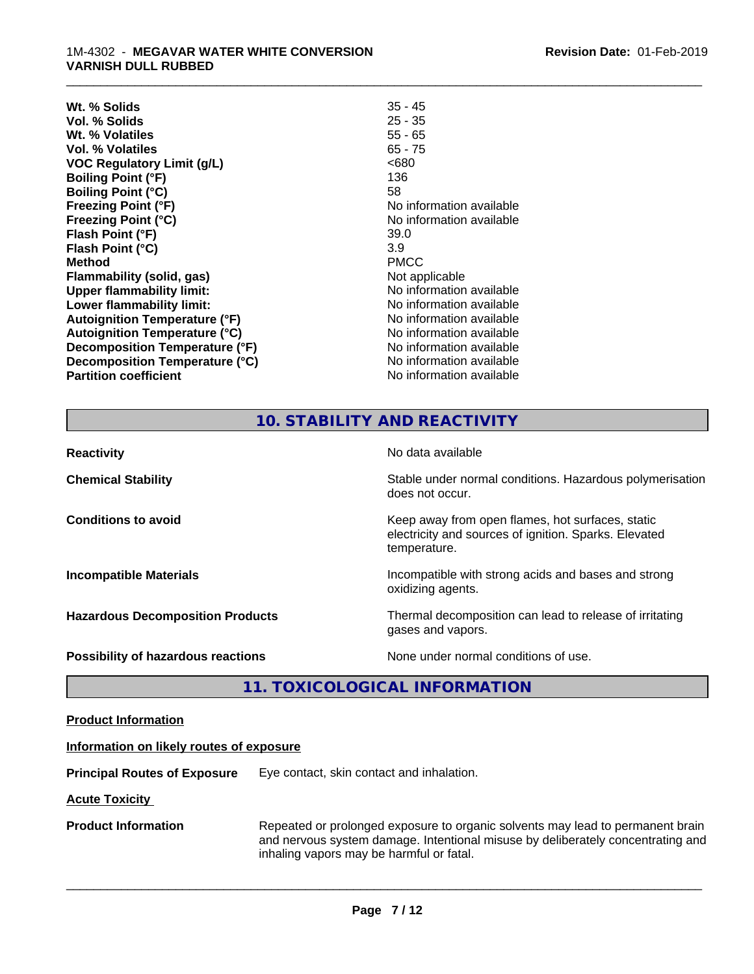| Wt. % Solids                         | $35 - 45$                |
|--------------------------------------|--------------------------|
| Vol. % Solids                        | $25 - 35$                |
| Wt. % Volatiles                      | $55 - 65$                |
| Vol. % Volatiles                     | $65 - 75$                |
| <b>VOC Regulatory Limit (g/L)</b>    | <680                     |
| <b>Boiling Point (°F)</b>            | 136                      |
| <b>Boiling Point (°C)</b>            | 58                       |
| <b>Freezing Point (°F)</b>           | No information available |
| <b>Freezing Point (°C)</b>           | No information available |
| Flash Point (°F)                     | 39.0                     |
| Flash Point (°C)                     | 3.9                      |
| <b>Method</b>                        | <b>PMCC</b>              |
| Flammability (solid, gas)            | Not applicable           |
| <b>Upper flammability limit:</b>     | No information available |
| Lower flammability limit:            | No information available |
| <b>Autoignition Temperature (°F)</b> | No information available |
| <b>Autoignition Temperature (°C)</b> | No information available |
| Decomposition Temperature (°F)       | No information available |
| Decomposition Temperature (°C)       | No information available |
| <b>Partition coefficient</b>         | No information available |

# **10. STABILITY AND REACTIVITY**

\_\_\_\_\_\_\_\_\_\_\_\_\_\_\_\_\_\_\_\_\_\_\_\_\_\_\_\_\_\_\_\_\_\_\_\_\_\_\_\_\_\_\_\_\_\_\_\_\_\_\_\_\_\_\_\_\_\_\_\_\_\_\_\_\_\_\_\_\_\_\_\_\_\_\_\_\_\_\_\_\_\_\_\_\_\_\_\_\_\_\_\_\_

| <b>Reactivity</b>                         | No data available                                                                                                         |
|-------------------------------------------|---------------------------------------------------------------------------------------------------------------------------|
| <b>Chemical Stability</b>                 | Stable under normal conditions. Hazardous polymerisation<br>does not occur.                                               |
| <b>Conditions to avoid</b>                | Keep away from open flames, hot surfaces, static<br>electricity and sources of ignition. Sparks. Elevated<br>temperature. |
| <b>Incompatible Materials</b>             | Incompatible with strong acids and bases and strong<br>oxidizing agents.                                                  |
| <b>Hazardous Decomposition Products</b>   | Thermal decomposition can lead to release of irritating<br>gases and vapors.                                              |
| <b>Possibility of hazardous reactions</b> | None under normal conditions of use.                                                                                      |

# **11. TOXICOLOGICAL INFORMATION**

| <b>Product Information</b> |
|----------------------------|
|----------------------------|

## **Information on likely routes of exposure**

**Principal Routes of Exposure** Eye contact, skin contact and inhalation.

**Acute Toxicity** 

**Product Information** Repeated or prolonged exposure to organic solvents may lead to permanent brain and nervous system damage. Intentional misuse by deliberately concentrating and inhaling vapors may be harmful or fatal.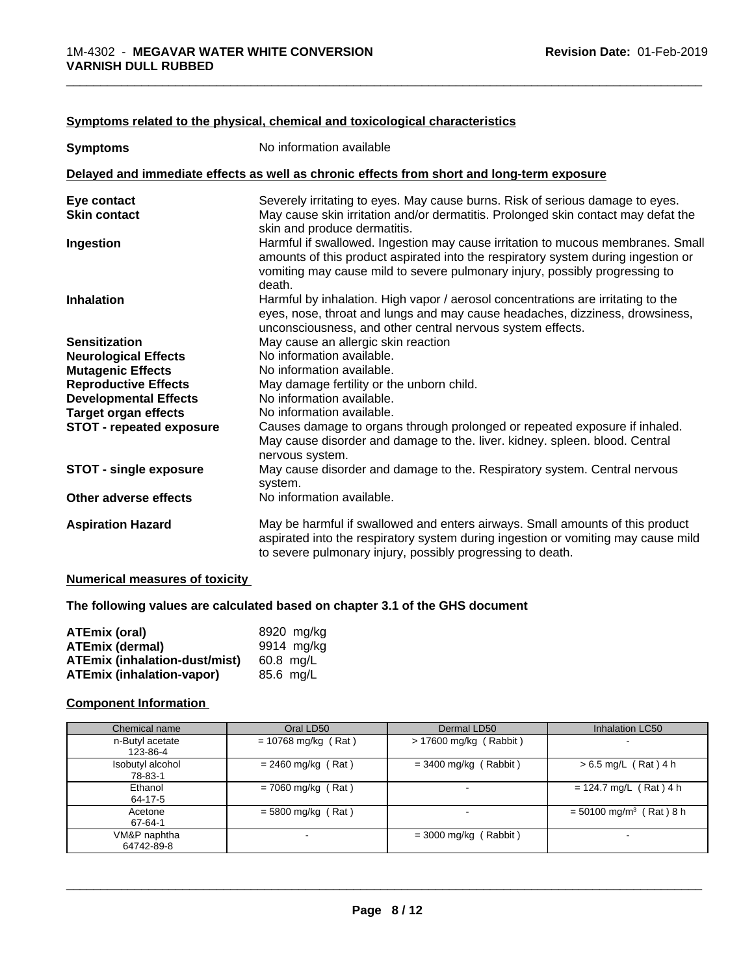| <b>Symptoms</b>                 | No information available                                                                                                                                                                                                                                      |
|---------------------------------|---------------------------------------------------------------------------------------------------------------------------------------------------------------------------------------------------------------------------------------------------------------|
|                                 | Delayed and immediate effects as well as chronic effects from short and long-term exposure                                                                                                                                                                    |
| Eye contact                     | Severely irritating to eyes. May cause burns. Risk of serious damage to eyes.                                                                                                                                                                                 |
| <b>Skin contact</b>             | May cause skin irritation and/or dermatitis. Prolonged skin contact may defat the<br>skin and produce dermatitis.                                                                                                                                             |
| Ingestion                       | Harmful if swallowed. Ingestion may cause irritation to mucous membranes. Small<br>amounts of this product aspirated into the respiratory system during ingestion or<br>vomiting may cause mild to severe pulmonary injury, possibly progressing to<br>death. |
| <b>Inhalation</b>               | Harmful by inhalation. High vapor / aerosol concentrations are irritating to the<br>eyes, nose, throat and lungs and may cause headaches, dizziness, drowsiness,<br>unconsciousness, and other central nervous system effects.                                |
| <b>Sensitization</b>            | May cause an allergic skin reaction                                                                                                                                                                                                                           |
| <b>Neurological Effects</b>     | No information available.                                                                                                                                                                                                                                     |
| <b>Mutagenic Effects</b>        | No information available.                                                                                                                                                                                                                                     |
| <b>Reproductive Effects</b>     | May damage fertility or the unborn child.                                                                                                                                                                                                                     |
| <b>Developmental Effects</b>    | No information available.                                                                                                                                                                                                                                     |
| <b>Target organ effects</b>     | No information available.                                                                                                                                                                                                                                     |
| <b>STOT - repeated exposure</b> | Causes damage to organs through prolonged or repeated exposure if inhaled.<br>May cause disorder and damage to the. liver. kidney. spleen. blood. Central<br>nervous system.                                                                                  |
| <b>STOT - single exposure</b>   | May cause disorder and damage to the. Respiratory system. Central nervous<br>system.                                                                                                                                                                          |
| Other adverse effects           | No information available.                                                                                                                                                                                                                                     |
| <b>Aspiration Hazard</b>        | May be harmful if swallowed and enters airways. Small amounts of this product<br>aspirated into the respiratory system during ingestion or vomiting may cause mild<br>to severe pulmonary injury, possibly progressing to death.                              |

## **Symptoms related to the physical,chemical and toxicological characteristics**

## **Numerical measures of toxicity**

## **The following values are calculated based on chapter 3.1 of the GHS document**

| ATEmix (oral)                        | 8920 mg/ka |
|--------------------------------------|------------|
| <b>ATEmix (dermal)</b>               | 9914 mg/kg |
| <b>ATEmix (inhalation-dust/mist)</b> | 60.8 ma/L  |
| ATEmix (inhalation-vapor)            | 85.6 ma/L  |

## **Component Information**

| Chemical name               | Oral LD50             | Dermal LD50             | Inhalation LC50                       |
|-----------------------------|-----------------------|-------------------------|---------------------------------------|
| n-Butyl acetate<br>123-86-4 | $= 10768$ mg/kg (Rat) | > 17600 mg/kg (Rabbit)  | $\,$                                  |
| Isobutyl alcohol<br>78-83-1 | $= 2460$ mg/kg (Rat)  | $=$ 3400 mg/kg (Rabbit) | $> 6.5$ mg/L (Rat) 4 h                |
| Ethanol<br>64-17-5          | $= 7060$ mg/kg (Rat)  |                         | $= 124.7$ mg/L (Rat) 4 h              |
| Acetone<br>67-64-1          | $= 5800$ mg/kg (Rat)  |                         | $= 50100$ mg/m <sup>3</sup> (Rat) 8 h |
| VM&P naphtha<br>64742-89-8  | -                     | $=$ 3000 mg/kg (Rabbit) | $\overline{\phantom{0}}$              |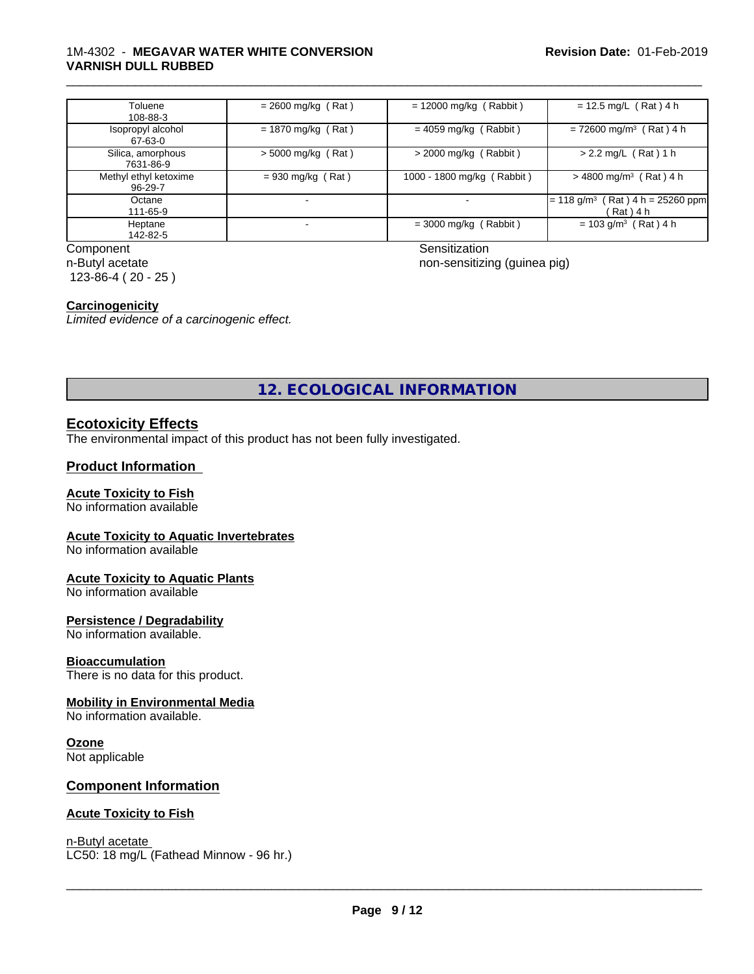## 1M-4302 - **MEGAVAR WATER WHITE CONVERSION VARNISH DULL RUBBED**

| Toluene<br>108-88-3              | $= 2600$ mg/kg (Rat) | $= 12000$ mg/kg (Rabbit)   | $= 12.5$ mg/L (Rat) 4 h                                        |
|----------------------------------|----------------------|----------------------------|----------------------------------------------------------------|
| Isopropyl alcohol<br>67-63-0     | $= 1870$ mg/kg (Rat) | $= 4059$ mg/kg (Rabbit)    | $= 72600$ mg/m <sup>3</sup> (Rat) 4 h                          |
| Silica, amorphous<br>7631-86-9   | > 5000 mg/kg (Rat)   | $>$ 2000 mg/kg (Rabbit)    | $> 2.2$ mg/L (Rat) 1 h                                         |
| Methyl ethyl ketoxime<br>96-29-7 | $= 930$ mg/kg (Rat)  | 1000 - 1800 mg/kg (Rabbit) | $>$ 4800 mg/m <sup>3</sup> (Rat) 4 h                           |
| Octane<br>111-65-9               |                      |                            | $(Rat)$ 4 h = 25260 ppm<br>l= 118 g/m <sup>3</sup><br>(Rat)4 h |
| Heptane<br>142-82-5              |                      | $=$ 3000 mg/kg (Rabbit)    | $= 103$ g/m <sup>3</sup> (Rat) 4 h                             |

Component Sensitization n-Butyl acetate 123-86-4 ( 20 - 25 )

non-sensitizing (guinea pig)

\_\_\_\_\_\_\_\_\_\_\_\_\_\_\_\_\_\_\_\_\_\_\_\_\_\_\_\_\_\_\_\_\_\_\_\_\_\_\_\_\_\_\_\_\_\_\_\_\_\_\_\_\_\_\_\_\_\_\_\_\_\_\_\_\_\_\_\_\_\_\_\_\_\_\_\_\_\_\_\_\_\_\_\_\_\_\_\_\_\_\_\_\_

## **Carcinogenicity**

*Limited evidence of a carcinogenic effect.*

**12. ECOLOGICAL INFORMATION**

## **Ecotoxicity Effects**

The environmental impact of this product has not been fully investigated.

## **Product Information**

## **Acute Toxicity to Fish**

No information available

## **Acute Toxicity to Aquatic Invertebrates**

No information available

## **Acute Toxicity to Aquatic Plants**

No information available

## **Persistence / Degradability**

No information available.

## **Bioaccumulation**

There is no data for this product.

## **Mobility in Environmental Media**

No information available.

## **Ozone**

Not applicable

## **Component Information**

## **Acute Toxicity to Fish**

n-Butyl acetate \_\_\_\_\_\_\_\_\_\_\_\_\_\_\_\_\_\_\_\_\_\_\_\_\_\_\_\_\_\_\_\_\_\_\_\_\_\_\_\_\_\_\_\_\_\_\_\_\_\_\_\_\_\_\_\_\_\_\_\_\_\_\_\_\_\_\_\_\_\_\_\_\_\_\_\_\_\_\_\_\_\_\_\_\_\_\_\_\_\_\_\_\_ LC50: 18 mg/L (Fathead Minnow - 96 hr.)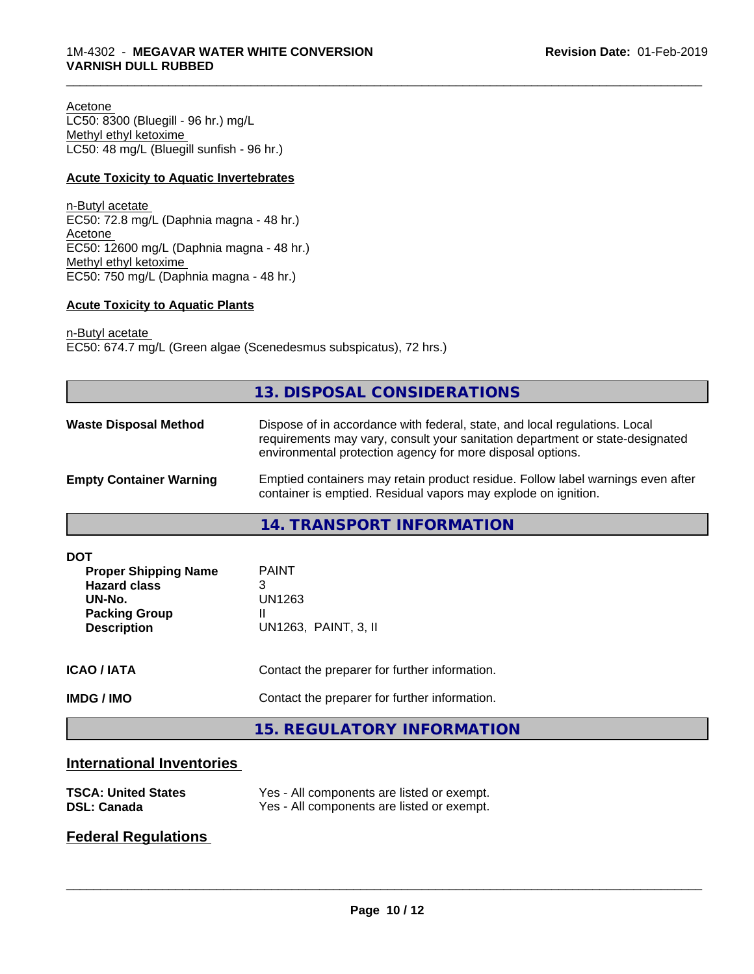Acetone LC50: 8300 (Bluegill - 96 hr.) mg/L Methyl ethyl ketoxime LC50: 48 mg/L (Bluegill sunfish - 96 hr.)

## **Acute Toxicity to Aquatic Invertebrates**

n-Butyl acetate EC50: 72.8 mg/L (Daphnia magna - 48 hr.) Acetone EC50: 12600 mg/L (Daphnia magna - 48 hr.) Methyl ethyl ketoxime EC50: 750 mg/L (Daphnia magna - 48 hr.)

## **Acute Toxicity to Aquatic Plants**

n-Butyl acetate EC50: 674.7 mg/L (Green algae (Scenedesmus subspicatus), 72 hrs.)

| Dispose of in accordance with federal, state, and local regulations. Local<br>requirements may vary, consult your sanitation department or state-designated<br>environmental protection agency for more disposal options.<br>Emptied containers may retain product residue. Follow label warnings even after<br>container is emptied. Residual vapors may explode on ignition.<br>14. TRANSPORT INFORMATION<br><b>PAINT</b><br><b>Proper Shipping Name</b><br><b>Hazard class</b><br>3<br><b>UN1263</b><br>UN-No.<br><b>Packing Group</b><br>UN1263, PAINT, 3, II<br><b>Description</b><br>Contact the preparer for further information. | <b>IMDG / IMO</b>  | Contact the preparer for further information.<br><b>15. REGULATORY INFORMATION</b> |
|------------------------------------------------------------------------------------------------------------------------------------------------------------------------------------------------------------------------------------------------------------------------------------------------------------------------------------------------------------------------------------------------------------------------------------------------------------------------------------------------------------------------------------------------------------------------------------------------------------------------------------------|--------------------|------------------------------------------------------------------------------------|
|                                                                                                                                                                                                                                                                                                                                                                                                                                                                                                                                                                                                                                          | <b>ICAO / IATA</b> |                                                                                    |
| <b>Empty Container Warning</b>                                                                                                                                                                                                                                                                                                                                                                                                                                                                                                                                                                                                           | <b>DOT</b>         |                                                                                    |
| <b>Waste Disposal Method</b>                                                                                                                                                                                                                                                                                                                                                                                                                                                                                                                                                                                                             |                    |                                                                                    |
|                                                                                                                                                                                                                                                                                                                                                                                                                                                                                                                                                                                                                                          |                    |                                                                                    |

\_\_\_\_\_\_\_\_\_\_\_\_\_\_\_\_\_\_\_\_\_\_\_\_\_\_\_\_\_\_\_\_\_\_\_\_\_\_\_\_\_\_\_\_\_\_\_\_\_\_\_\_\_\_\_\_\_\_\_\_\_\_\_\_\_\_\_\_\_\_\_\_\_\_\_\_\_\_\_\_\_\_\_\_\_\_\_\_\_\_\_\_\_

# **International Inventories**

| <b>TSCA: United States</b> | Yes - All components are listed or exempt. |
|----------------------------|--------------------------------------------|
| <b>DSL: Canada</b>         | Yes - All components are listed or exempt. |

# **Federal Regulations**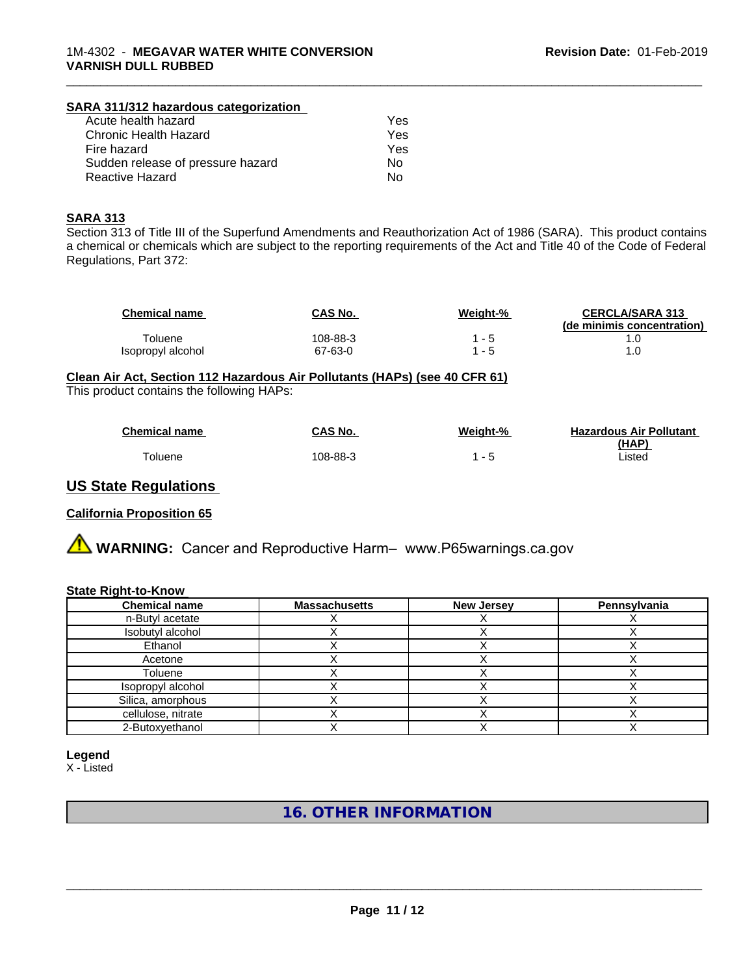## **SARA 311/312 hazardous categorization**

| Acute health hazard               | Yes |
|-----------------------------------|-----|
| Chronic Health Hazard             | Yes |
| Fire hazard                       | Yes |
| Sudden release of pressure hazard | Nο  |
| Reactive Hazard                   | N٥  |

#### **SARA 313**

Section 313 of Title III of the Superfund Amendments and Reauthorization Act of 1986 (SARA). This product contains a chemical or chemicals which are subject to the reporting requirements of the Act and Title 40 of the Code of Federal Regulations, Part 372:

| <b>Chemical name</b> | CAS No.  | <u>Weight-%</u> | <b>CERCLA/SARA 313</b><br>(de minimis concentration) |
|----------------------|----------|-----------------|------------------------------------------------------|
| <b>Toluene</b>       | 108-88-3 | - 5             |                                                      |
| Isopropyl alcohol    | 67-63-0  | - 5             |                                                      |

\_\_\_\_\_\_\_\_\_\_\_\_\_\_\_\_\_\_\_\_\_\_\_\_\_\_\_\_\_\_\_\_\_\_\_\_\_\_\_\_\_\_\_\_\_\_\_\_\_\_\_\_\_\_\_\_\_\_\_\_\_\_\_\_\_\_\_\_\_\_\_\_\_\_\_\_\_\_\_\_\_\_\_\_\_\_\_\_\_\_\_\_\_

## **Clean Air Act,Section 112 Hazardous Air Pollutants (HAPs) (see 40 CFR 61)**

This product contains the following HAPs:

| <b>Chemical name</b> | CAS No.  | Weight-%                 | <b>Hazardous Air Pollutant</b> |
|----------------------|----------|--------------------------|--------------------------------|
|                      |          |                          | (HAP)                          |
| oluene               | 108-88-3 | $\overline{\phantom{0}}$ | Listed                         |

## **US State Regulations**

## **California Proposition 65**

**A WARNING:** Cancer and Reproductive Harm– www.P65warnings.ca.gov

#### **State Right-to-Know**

| <b>Chemical name</b> | <b>Massachusetts</b> | <b>New Jersey</b> | Pennsylvania |
|----------------------|----------------------|-------------------|--------------|
| n-Butyl acetate      |                      |                   |              |
| Isobutyl alcohol     |                      |                   |              |
| Ethanol              |                      |                   |              |
| Acetone              |                      |                   |              |
| Toluene              |                      |                   |              |
| Isopropyl alcohol    |                      |                   |              |
| Silica, amorphous    |                      |                   |              |
| cellulose, nitrate   |                      |                   |              |
| 2-Butoxyethanol      |                      |                   |              |

#### **Legend**

X - Listed

**16. OTHER INFORMATION**